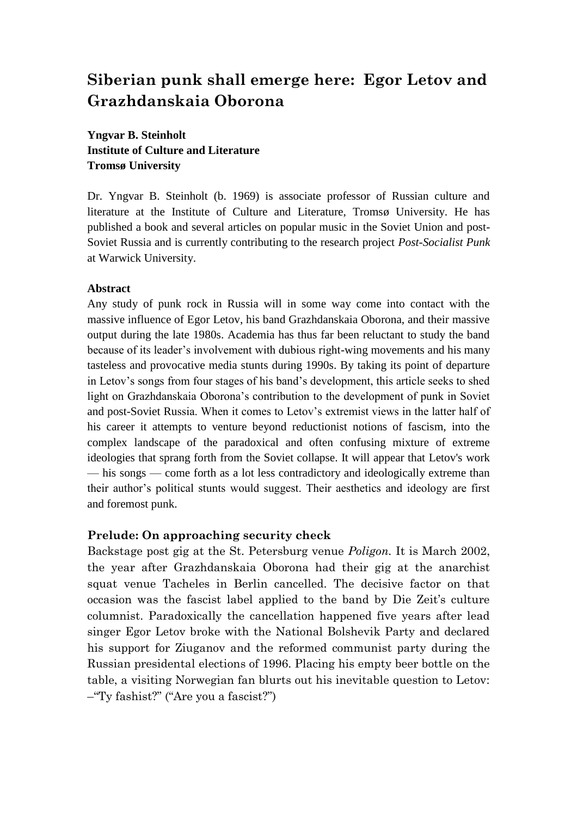# **Siberian punk shall emerge here: Egor Letov and Grazhdanskaia Oborona**

**Yngvar B. Steinholt Institute of Culture and Literature Tromsø University**

Dr. Yngvar B. Steinholt (b. 1969) is associate professor of Russian culture and literature at the Institute of Culture and Literature, Tromsø University. He has published a book and several articles on popular music in the Soviet Union and post-Soviet Russia and is currently contributing to the research project *Post-Socialist Punk* at Warwick University.

#### **Abstract**

Any study of punk rock in Russia will in some way come into contact with the massive influence of Egor Letov, his band Grazhdanskaia Oborona, and their massive output during the late 1980s. Academia has thus far been reluctant to study the band because of its leader's involvement with dubious right-wing movements and his many tasteless and provocative media stunts during 1990s. By taking its point of departure in Letov's songs from four stages of his band's development, this article seeks to shed light on Grazhdanskaia Oborona's contribution to the development of punk in Soviet and post-Soviet Russia. When it comes to Letov's extremist views in the latter half of his career it attempts to venture beyond reductionist notions of fascism, into the complex landscape of the paradoxical and often confusing mixture of extreme ideologies that sprang forth from the Soviet collapse. It will appear that Letov's work — his songs — come forth as a lot less contradictory and ideologically extreme than their author's political stunts would suggest. Their aesthetics and ideology are first and foremost punk.

#### **Prelude: On approaching security check**

Backstage post gig at the St. Petersburg venue *Poligon.* It is March 2002, the year after Grazhdanskaia Oborona had their gig at the anarchist squat venue Tacheles in Berlin cancelled. The decisive factor on that occasion was the fascist label applied to the band by Die Zeit's culture columnist. Paradoxically the cancellation happened five years after lead singer Egor Letov broke with the National Bolshevik Party and declared his support for Ziuganov and the reformed communist party during the Russian presidental elections of 1996. Placing his empty beer bottle on the table, a visiting Norwegian fan blurts out his inevitable question to Letov: –"Ty fashist?" ("Are you a fascist?")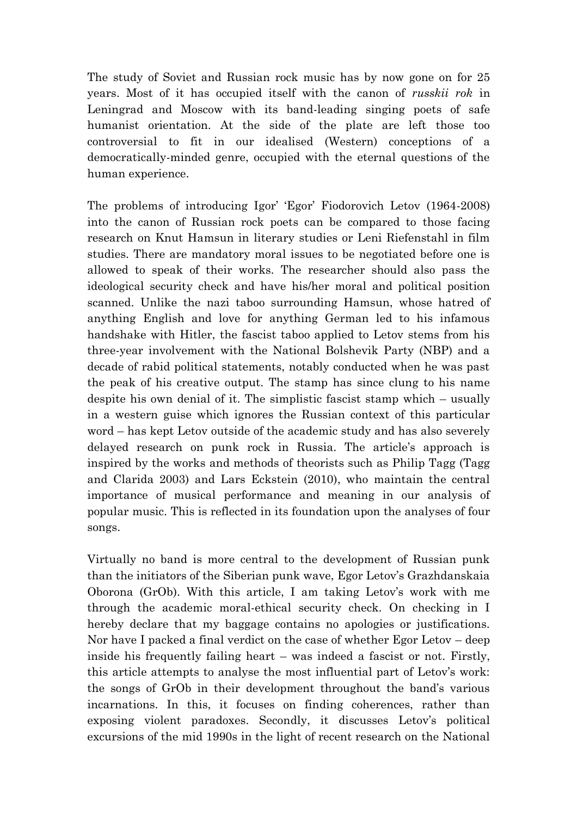The study of Soviet and Russian rock music has by now gone on for 25 years. Most of it has occupied itself with the canon of *russkii rok* in Leningrad and Moscow with its band-leading singing poets of safe humanist orientation. At the side of the plate are left those too controversial to fit in our idealised (Western) conceptions of a democratically-minded genre, occupied with the eternal questions of the human experience.

The problems of introducing Igor' 'Egor' Fiodorovich Letov (1964-2008) into the canon of Russian rock poets can be compared to those facing research on Knut Hamsun in literary studies or Leni Riefenstahl in film studies. There are mandatory moral issues to be negotiated before one is allowed to speak of their works. The researcher should also pass the ideological security check and have his/her moral and political position scanned. Unlike the nazi taboo surrounding Hamsun, whose hatred of anything English and love for anything German led to his infamous handshake with Hitler, the fascist taboo applied to Letov stems from his three-year involvement with the National Bolshevik Party (NBP) and a decade of rabid political statements, notably conducted when he was past the peak of his creative output. The stamp has since clung to his name despite his own denial of it. The simplistic fascist stamp which – usually in a western guise which ignores the Russian context of this particular word – has kept Letov outside of the academic study and has also severely delayed research on punk rock in Russia. The article's approach is inspired by the works and methods of theorists such as Philip Tagg (Tagg and Clarida 2003) and Lars Eckstein (2010), who maintain the central importance of musical performance and meaning in our analysis of popular music. This is reflected in its foundation upon the analyses of four songs.

Virtually no band is more central to the development of Russian punk than the initiators of the Siberian punk wave, Egor Letov"s Grazhdanskaia Oborona (GrOb). With this article, I am taking Letov's work with me through the academic moral-ethical security check. On checking in I hereby declare that my baggage contains no apologies or justifications. Nor have I packed a final verdict on the case of whether Egor Letov – deep inside his frequently failing heart – was indeed a fascist or not. Firstly, this article attempts to analyse the most influential part of Letov's work: the songs of GrOb in their development throughout the band"s various incarnations. In this, it focuses on finding coherences, rather than exposing violent paradoxes. Secondly, it discusses Letov's political excursions of the mid 1990s in the light of recent research on the National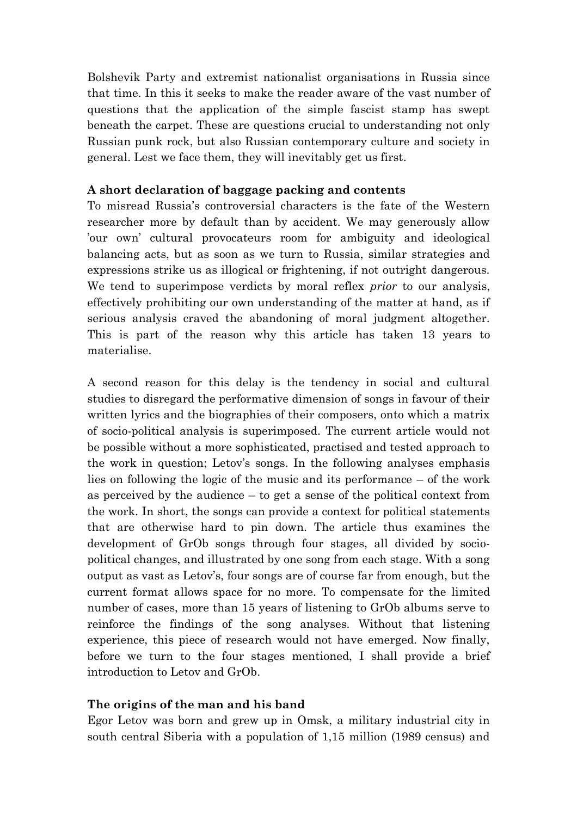Bolshevik Party and extremist nationalist organisations in Russia since that time. In this it seeks to make the reader aware of the vast number of questions that the application of the simple fascist stamp has swept beneath the carpet. These are questions crucial to understanding not only Russian punk rock, but also Russian contemporary culture and society in general. Lest we face them, they will inevitably get us first.

## **A short declaration of baggage packing and contents**

To misread Russia"s controversial characters is the fate of the Western researcher more by default than by accident. We may generously allow "our own" cultural provocateurs room for ambiguity and ideological balancing acts, but as soon as we turn to Russia, similar strategies and expressions strike us as illogical or frightening, if not outright dangerous. We tend to superimpose verdicts by moral reflex *prior* to our analysis, effectively prohibiting our own understanding of the matter at hand, as if serious analysis craved the abandoning of moral judgment altogether. This is part of the reason why this article has taken 13 years to materialise.

A second reason for this delay is the tendency in social and cultural studies to disregard the performative dimension of songs in favour of their written lyrics and the biographies of their composers, onto which a matrix of socio-political analysis is superimposed. The current article would not be possible without a more sophisticated, practised and tested approach to the work in question; Letov's songs. In the following analyses emphasis lies on following the logic of the music and its performance – of the work as perceived by the audience – to get a sense of the political context from the work. In short, the songs can provide a context for political statements that are otherwise hard to pin down. The article thus examines the development of GrOb songs through four stages, all divided by sociopolitical changes, and illustrated by one song from each stage. With a song output as vast as Letov"s, four songs are of course far from enough, but the current format allows space for no more. To compensate for the limited number of cases, more than 15 years of listening to GrOb albums serve to reinforce the findings of the song analyses. Without that listening experience, this piece of research would not have emerged. Now finally, before we turn to the four stages mentioned, I shall provide a brief introduction to Letov and GrOb.

# **The origins of the man and his band**

Egor Letov was born and grew up in Omsk, a military industrial city in south central Siberia with a population of 1,15 million (1989 census) and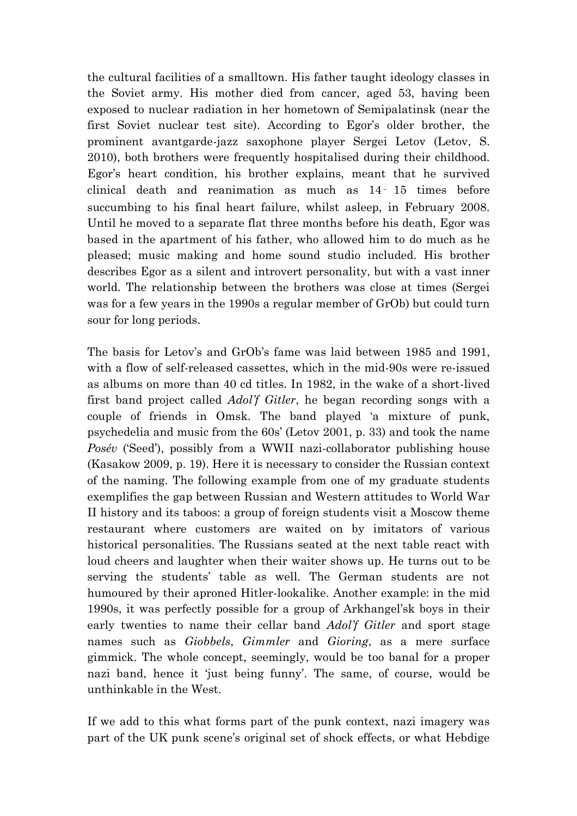the cultural facilities of a smalltown. His father taught ideology classes in the Soviet army. His mother died from cancer, aged 53, having been exposed to nuclear radiation in her hometown of Semipalatinsk (near the first Soviet nuclear test site). According to Egor's older brother, the prominent avantgarde-jazz saxophone player Sergei Letov (Letov, S. 2010), both brothers were frequently hospitalised during their childhood. Egor"s heart condition, his brother explains, meant that he survived clinical death and reanimation as much as 14‑ 15 times before succumbing to his final heart failure, whilst asleep, in February 2008. Until he moved to a separate flat three months before his death, Egor was based in the apartment of his father, who allowed him to do much as he pleased; music making and home sound studio included. His brother describes Egor as a silent and introvert personality, but with a vast inner world. The relationship between the brothers was close at times (Sergei was for a few years in the 1990s a regular member of GrOb) but could turn sour for long periods.

The basis for Letov's and GrOb's fame was laid between 1985 and 1991, with a flow of self-released cassettes, which in the mid-90s were re-issued as albums on more than 40 cd titles. In 1982, in the wake of a short-lived first band project called *Adol'f Gitler*, he began recording songs with a couple of friends in Omsk. The band played "a mixture of punk, psychedelia and music from the 60s" (Letov 2001, p. 33) and took the name *Posév* ('Seed'), possibly from a WWII nazi-collaborator publishing house (Kasakow 2009, p. 19). Here it is necessary to consider the Russian context of the naming. The following example from one of my graduate students exemplifies the gap between Russian and Western attitudes to World War II history and its taboos: a group of foreign students visit a Moscow theme restaurant where customers are waited on by imitators of various historical personalities. The Russians seated at the next table react with loud cheers and laughter when their waiter shows up. He turns out to be serving the students' table as well. The German students are not humoured by their aproned Hitler-lookalike. Another example: in the mid 1990s, it was perfectly possible for a group of Arkhangel"sk boys in their early twenties to name their cellar band *Adol'f Gitler* and sport stage names such as *Giobbels*, *Gimmler* and *Gioring*, as a mere surface gimmick. The whole concept, seemingly, would be too banal for a proper nazi band, hence it 'just being funny'. The same, of course, would be unthinkable in the West.

If we add to this what forms part of the punk context, nazi imagery was part of the UK punk scene's original set of shock effects, or what Hebdige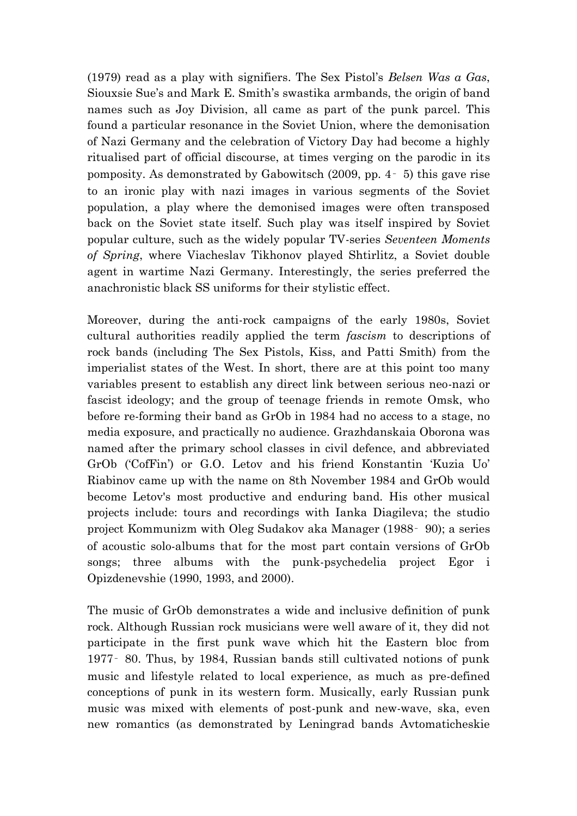(1979) read as a play with signifiers. The Sex Pistol"s *Belsen Was a Gas*, Siouxsie Sue"s and Mark E. Smith"s swastika armbands, the origin of band names such as Joy Division, all came as part of the punk parcel. This found a particular resonance in the Soviet Union, where the demonisation of Nazi Germany and the celebration of Victory Day had become a highly ritualised part of official discourse, at times verging on the parodic in its pomposity. As demonstrated by Gabowitsch (2009, pp. 4‑ 5) this gave rise to an ironic play with nazi images in various segments of the Soviet population, a play where the demonised images were often transposed back on the Soviet state itself. Such play was itself inspired by Soviet popular culture, such as the widely popular TV-series *Seventeen Moments of Spring*, where Viacheslav Tikhonov played Shtirlitz, a Soviet double agent in wartime Nazi Germany. Interestingly, the series preferred the anachronistic black SS uniforms for their stylistic effect.

Moreover, during the anti-rock campaigns of the early 1980s, Soviet cultural authorities readily applied the term *fascism* to descriptions of rock bands (including The Sex Pistols, Kiss, and Patti Smith) from the imperialist states of the West. In short, there are at this point too many variables present to establish any direct link between serious neo-nazi or fascist ideology; and the group of teenage friends in remote Omsk, who before re-forming their band as GrOb in 1984 had no access to a stage, no media exposure, and practically no audience. Grazhdanskaia Oborona was named after the primary school classes in civil defence, and abbreviated GrOb ("CofFin") or G.O. Letov and his friend Konstantin "Kuzia Uo" Riabinov came up with the name on 8th November 1984 and GrOb would become Letov's most productive and enduring band. His other musical projects include: tours and recordings with Ianka Diagileva; the studio project Kommunizm with Oleg Sudakov aka Manager (1988‑ 90); a series of acoustic solo-albums that for the most part contain versions of GrOb songs; three albums with the punk-psychedelia project Egor i Opizdenevshie (1990, 1993, and 2000).

The music of GrOb demonstrates a wide and inclusive definition of punk rock. Although Russian rock musicians were well aware of it, they did not participate in the first punk wave which hit the Eastern bloc from 1977‑ 80. Thus, by 1984, Russian bands still cultivated notions of punk music and lifestyle related to local experience, as much as pre-defined conceptions of punk in its western form. Musically, early Russian punk music was mixed with elements of post-punk and new-wave, ska, even new romantics (as demonstrated by Leningrad bands Avtomaticheskie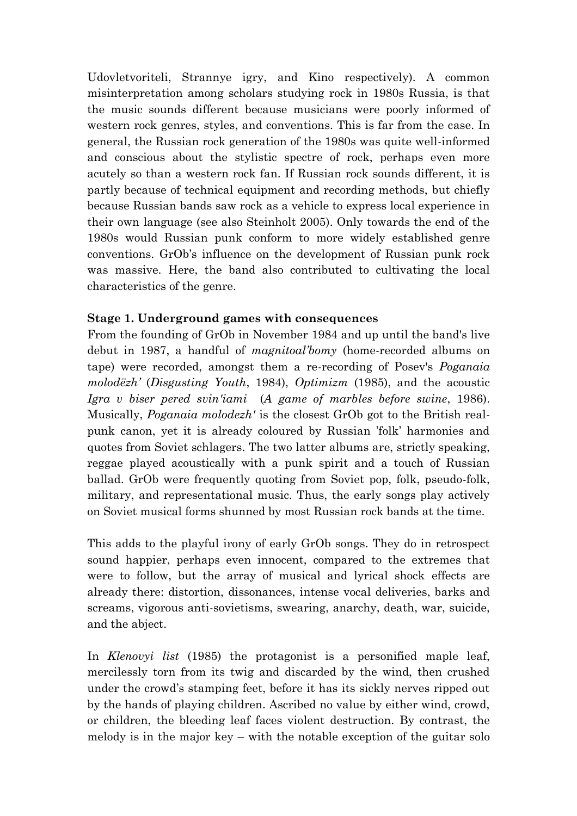Udovletvoriteli, Strannye igry, and Kino respectively). A common misinterpretation among scholars studying rock in 1980s Russia, is that the music sounds different because musicians were poorly informed of western rock genres, styles, and conventions. This is far from the case. In general, the Russian rock generation of the 1980s was quite well-informed and conscious about the stylistic spectre of rock, perhaps even more acutely so than a western rock fan. If Russian rock sounds different, it is partly because of technical equipment and recording methods, but chiefly because Russian bands saw rock as a vehicle to express local experience in their own language (see also Steinholt 2005). Only towards the end of the 1980s would Russian punk conform to more widely established genre conventions. GrOb's influence on the development of Russian punk rock was massive. Here, the band also contributed to cultivating the local characteristics of the genre.

## **Stage 1. Underground games with consequences**

From the founding of GrOb in November 1984 and up until the band's live debut in 1987, a handful of *magnitoal'bomy* (home-recorded albums on tape) were recorded, amongst them a re-recording of Posev's *Poganaia molodëzh'* (*Disgusting Youth*, 1984), *Optimizm* (1985), and the acoustic *Igra v biser pered svin'iami* (*A game of marbles before swine*, 1986). Musically, *Poganaia molodezh'* is the closest GrOb got to the British realpunk canon, yet it is already coloured by Russian "folk" harmonies and quotes from Soviet schlagers. The two latter albums are, strictly speaking, reggae played acoustically with a punk spirit and a touch of Russian ballad. GrOb were frequently quoting from Soviet pop, folk, pseudo-folk, military, and representational music. Thus, the early songs play actively on Soviet musical forms shunned by most Russian rock bands at the time.

This adds to the playful irony of early GrOb songs. They do in retrospect sound happier, perhaps even innocent, compared to the extremes that were to follow, but the array of musical and lyrical shock effects are already there: distortion, dissonances, intense vocal deliveries, barks and screams, vigorous anti-sovietisms, swearing, anarchy, death, war, suicide, and the abject.

In *Klenovyi list* (1985) the protagonist is a personified maple leaf, mercilessly torn from its twig and discarded by the wind, then crushed under the crowd"s stamping feet, before it has its sickly nerves ripped out by the hands of playing children. Ascribed no value by either wind, crowd, or children, the bleeding leaf faces violent destruction. By contrast, the melody is in the major key – with the notable exception of the guitar solo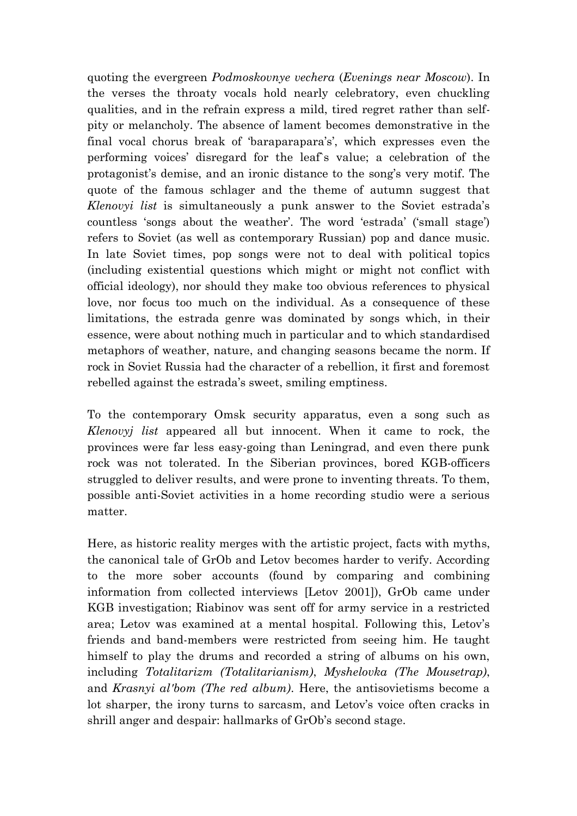quoting the evergreen *Podmoskovnye vechera* (*Evenings near Moscow*). In the verses the throaty vocals hold nearly celebratory, even chuckling qualities, and in the refrain express a mild, tired regret rather than selfpity or melancholy. The absence of lament becomes demonstrative in the final vocal chorus break of 'baraparapara's', which expresses even the performing voices" disregard for the leaf`s value; a celebration of the protagonist's demise, and an ironic distance to the song's very motif. The quote of the famous schlager and the theme of autumn suggest that *Klenovyi list* is simultaneously a punk answer to the Soviet estrada"s countless 'songs about the weather'. The word 'estrada' ('small stage') refers to Soviet (as well as contemporary Russian) pop and dance music. In late Soviet times, pop songs were not to deal with political topics (including existential questions which might or might not conflict with official ideology), nor should they make too obvious references to physical love, nor focus too much on the individual. As a consequence of these limitations, the estrada genre was dominated by songs which, in their essence, were about nothing much in particular and to which standardised metaphors of weather, nature, and changing seasons became the norm. If rock in Soviet Russia had the character of a rebellion, it first and foremost rebelled against the estrada's sweet, smiling emptiness.

To the contemporary Omsk security apparatus, even a song such as *Klenovyj list* appeared all but innocent. When it came to rock, the provinces were far less easy-going than Leningrad, and even there punk rock was not tolerated. In the Siberian provinces, bored KGB-officers struggled to deliver results, and were prone to inventing threats. To them, possible anti-Soviet activities in a home recording studio were a serious matter.

Here, as historic reality merges with the artistic project, facts with myths, the canonical tale of GrOb and Letov becomes harder to verify. According to the more sober accounts (found by comparing and combining information from collected interviews [Letov 2001]), GrOb came under KGB investigation; Riabinov was sent off for army service in a restricted area; Letov was examined at a mental hospital. Following this, Letov's friends and band-members were restricted from seeing him. He taught himself to play the drums and recorded a string of albums on his own, including *Totalitarizm (Totalitarianism)*, *Myshelovka (The Mousetrap)*, and *Krasnyi al'bom (The red album)*. Here, the antisovietisms become a lot sharper, the irony turns to sarcasm, and Letov's voice often cracks in shrill anger and despair: hallmarks of GrOb's second stage.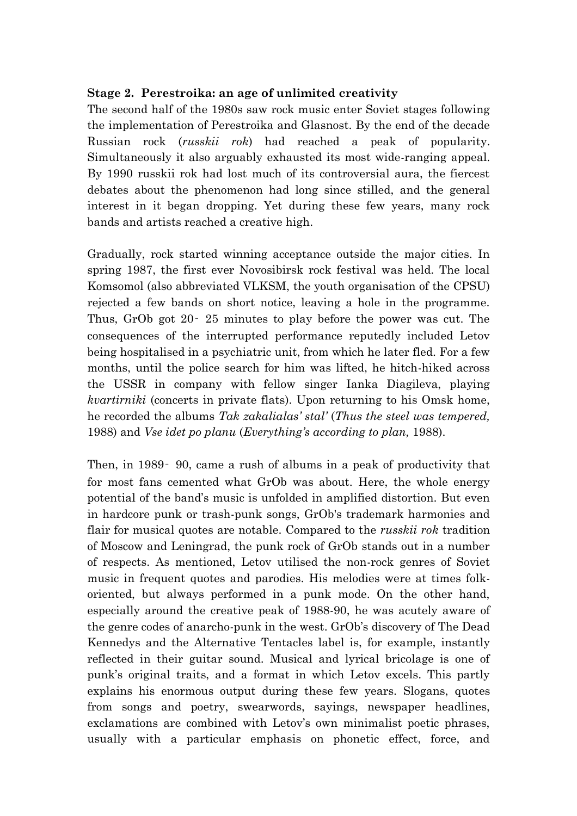## **Stage 2. Perestroika: an age of unlimited creativity**

The second half of the 1980s saw rock music enter Soviet stages following the implementation of Perestroika and Glasnost. By the end of the decade Russian rock (*russkii rok*) had reached a peak of popularity. Simultaneously it also arguably exhausted its most wide-ranging appeal. By 1990 russkii rok had lost much of its controversial aura, the fiercest debates about the phenomenon had long since stilled, and the general interest in it began dropping. Yet during these few years, many rock bands and artists reached a creative high.

Gradually, rock started winning acceptance outside the major cities. In spring 1987, the first ever Novosibirsk rock festival was held. The local Komsomol (also abbreviated VLKSM, the youth organisation of the CPSU) rejected a few bands on short notice, leaving a hole in the programme. Thus, GrOb got 20‑ 25 minutes to play before the power was cut. The consequences of the interrupted performance reputedly included Letov being hospitalised in a psychiatric unit, from which he later fled. For a few months, until the police search for him was lifted, he hitch-hiked across the USSR in company with fellow singer Ianka Diagileva, playing *kvartirniki* (concerts in private flats). Upon returning to his Omsk home, he recorded the albums *Tak zakalialas' stal'* (*Thus the steel was tempered,*  1988) and *Vse idet po planu* (*Everything's according to plan,* 1988).

Then, in 1989‑ 90, came a rush of albums in a peak of productivity that for most fans cemented what GrOb was about. Here, the whole energy potential of the band"s music is unfolded in amplified distortion. But even in hardcore punk or trash-punk songs, GrOb's trademark harmonies and flair for musical quotes are notable. Compared to the *russkii rok* tradition of Moscow and Leningrad, the punk rock of GrOb stands out in a number of respects. As mentioned, Letov utilised the non-rock genres of Soviet music in frequent quotes and parodies. His melodies were at times folkoriented, but always performed in a punk mode. On the other hand, especially around the creative peak of 1988-90, he was acutely aware of the genre codes of anarcho-punk in the west. GrOb"s discovery of The Dead Kennedys and the Alternative Tentacles label is, for example, instantly reflected in their guitar sound. Musical and lyrical bricolage is one of punk"s original traits, and a format in which Letov excels. This partly explains his enormous output during these few years. Slogans, quotes from songs and poetry, swearwords, sayings, newspaper headlines, exclamations are combined with Letov's own minimalist poetic phrases, usually with a particular emphasis on phonetic effect, force, and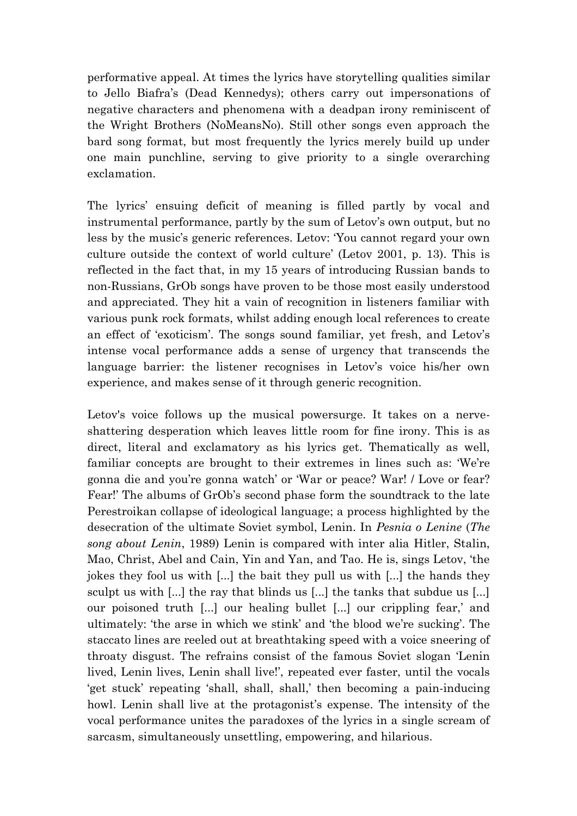performative appeal. At times the lyrics have storytelling qualities similar to Jello Biafra"s (Dead Kennedys); others carry out impersonations of negative characters and phenomena with a deadpan irony reminiscent of the Wright Brothers (NoMeansNo). Still other songs even approach the bard song format, but most frequently the lyrics merely build up under one main punchline, serving to give priority to a single overarching exclamation.

The lyrics' ensuing deficit of meaning is filled partly by vocal and instrumental performance, partly by the sum of Letov's own output, but no less by the music's generic references. Letov: 'You cannot regard your own culture outside the context of world culture" (Letov 2001, p. 13). This is reflected in the fact that, in my 15 years of introducing Russian bands to non-Russians, GrOb songs have proven to be those most easily understood and appreciated. They hit a vain of recognition in listeners familiar with various punk rock formats, whilst adding enough local references to create an effect of "exoticism". The songs sound familiar, yet fresh, and Letov"s intense vocal performance adds a sense of urgency that transcends the language barrier: the listener recognises in Letov's voice his/her own experience, and makes sense of it through generic recognition.

Letov's voice follows up the musical powersurge. It takes on a nerveshattering desperation which leaves little room for fine irony. This is as direct, literal and exclamatory as his lyrics get. Thematically as well, familiar concepts are brought to their extremes in lines such as: "We"re gonna die and you"re gonna watch" or "War or peace? War! / Love or fear? Fear!' The albums of GrOb's second phase form the soundtrack to the late Perestroikan collapse of ideological language; a process highlighted by the desecration of the ultimate Soviet symbol, Lenin. In *Pesnia o Lenine* (*The song about Lenin*, 1989) Lenin is compared with inter alia Hitler, Stalin, Mao, Christ, Abel and Cain, Yin and Yan, and Tao. He is, sings Letov, "the jokes they fool us with [...] the bait they pull us with [...] the hands they sculpt us with [...] the ray that blinds us [...] the tanks that subdue us [...] our poisoned truth [...] our healing bullet [...] our crippling fear,' and ultimately: "the arse in which we stink" and "the blood we"re sucking". The staccato lines are reeled out at breathtaking speed with a voice sneering of throaty disgust. The refrains consist of the famous Soviet slogan "Lenin lived, Lenin lives, Lenin shall live!", repeated ever faster, until the vocals "get stuck" repeating 'shall, shall, shall," then becoming a pain-inducing howl. Lenin shall live at the protagonist's expense. The intensity of the vocal performance unites the paradoxes of the lyrics in a single scream of sarcasm, simultaneously unsettling, empowering, and hilarious.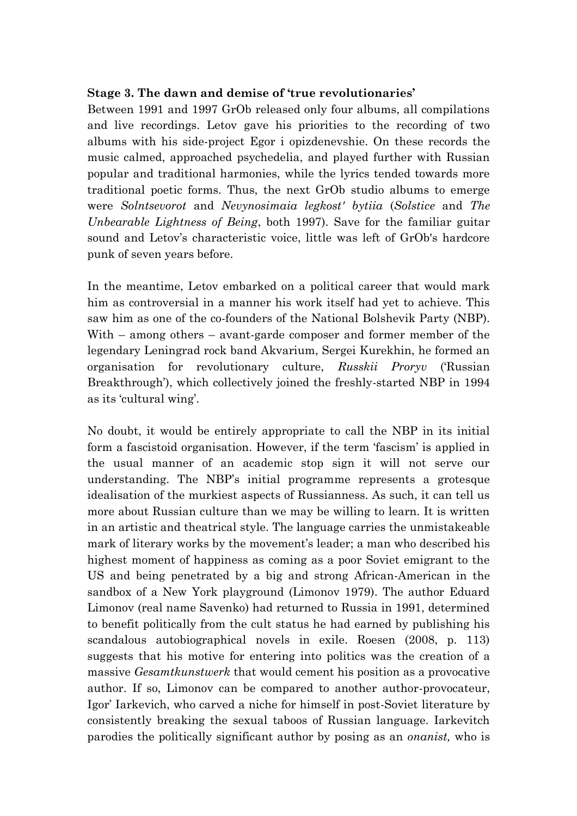## **Stage 3. The dawn and demise of 'true revolutionaries'**

Between 1991 and 1997 GrOb released only four albums, all compilations and live recordings. Letov gave his priorities to the recording of two albums with his side-project Egor i opizdenevshie. On these records the music calmed, approached psychedelia, and played further with Russian popular and traditional harmonies, while the lyrics tended towards more traditional poetic forms. Thus, the next GrOb studio albums to emerge were *Solntsevorot* and *Nevynosimaia legkost' bytiia* (*Solstice* and *The Unbearable Lightness of Being*, both 1997). Save for the familiar guitar sound and Letov's characteristic voice, little was left of GrOb's hardcore punk of seven years before.

In the meantime, Letov embarked on a political career that would mark him as controversial in a manner his work itself had yet to achieve. This saw him as one of the co-founders of the National Bolshevik Party (NBP). With – among others – avant-garde composer and former member of the legendary Leningrad rock band Akvarium, Sergei Kurekhin, he formed an organisation for revolutionary culture, *Russkii Proryv* ("Russian Breakthrough'), which collectively joined the freshly-started NBP in 1994 as its 'cultural wing'.

No doubt, it would be entirely appropriate to call the NBP in its initial form a fascistoid organisation. However, if the term 'fascism' is applied in the usual manner of an academic stop sign it will not serve our understanding. The NBP"s initial programme represents a grotesque idealisation of the murkiest aspects of Russianness. As such, it can tell us more about Russian culture than we may be willing to learn. It is written in an artistic and theatrical style. The language carries the unmistakeable mark of literary works by the movement's leader; a man who described his highest moment of happiness as coming as a poor Soviet emigrant to the US and being penetrated by a big and strong African-American in the sandbox of a New York playground (Limonov 1979). The author Eduard Limonov (real name Savenko) had returned to Russia in 1991, determined to benefit politically from the cult status he had earned by publishing his scandalous autobiographical novels in exile. Roesen (2008, p. 113) suggests that his motive for entering into politics was the creation of a massive *Gesamtkunstwerk* that would cement his position as a provocative author. If so, Limonov can be compared to another author-provocateur, Igor" Iarkevich, who carved a niche for himself in post-Soviet literature by consistently breaking the sexual taboos of Russian language. Iarkevitch parodies the politically significant author by posing as an *onanist,* who is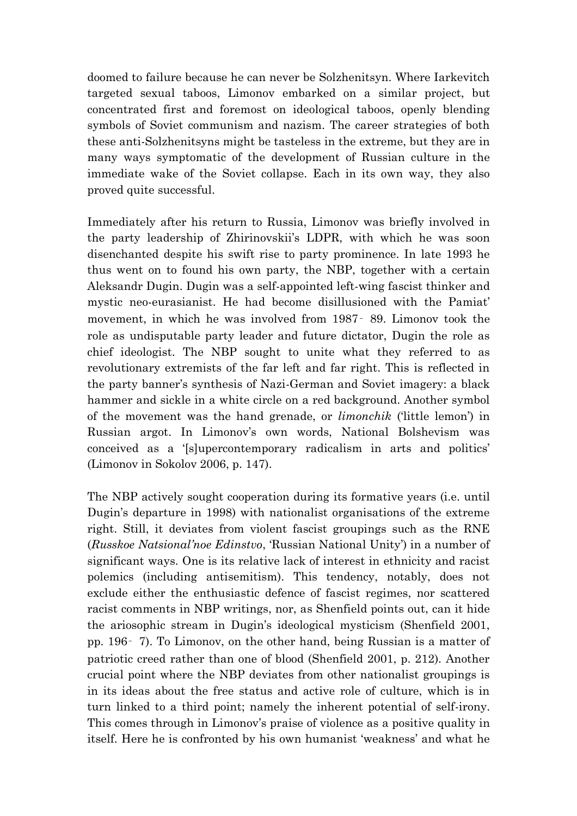doomed to failure because he can never be Solzhenitsyn. Where Iarkevitch targeted sexual taboos, Limonov embarked on a similar project, but concentrated first and foremost on ideological taboos, openly blending symbols of Soviet communism and nazism. The career strategies of both these anti-Solzhenitsyns might be tasteless in the extreme, but they are in many ways symptomatic of the development of Russian culture in the immediate wake of the Soviet collapse. Each in its own way, they also proved quite successful.

Immediately after his return to Russia, Limonov was briefly involved in the party leadership of Zhirinovskii"s LDPR, with which he was soon disenchanted despite his swift rise to party prominence. In late 1993 he thus went on to found his own party, the NBP, together with a certain Aleksandr Dugin. Dugin was a self-appointed left-wing fascist thinker and mystic neo-eurasianist. He had become disillusioned with the Pamiat" movement, in which he was involved from 1987‑ 89. Limonov took the role as undisputable party leader and future dictator, Dugin the role as chief ideologist. The NBP sought to unite what they referred to as revolutionary extremists of the far left and far right. This is reflected in the party banner's synthesis of Nazi-German and Soviet imagery: a black hammer and sickle in a white circle on a red background. Another symbol of the movement was the hand grenade, or *limonchik* ('little lemon') in Russian argot. In Limonov"s own words, National Bolshevism was conceived as a '[s]upercontemporary radicalism in arts and politics' (Limonov in Sokolov 2006, p. 147).

The NBP actively sought cooperation during its formative years (i.e. until Dugin"s departure in 1998) with nationalist organisations of the extreme right. Still, it deviates from violent fascist groupings such as the RNE (*Russkoe Natsional'noe Edinstvo*, "Russian National Unity") in a number of significant ways. One is its relative lack of interest in ethnicity and racist polemics (including antisemitism). This tendency, notably, does not exclude either the enthusiastic defence of fascist regimes, nor scattered racist comments in NBP writings, nor, as Shenfield points out, can it hide the ariosophic stream in Dugin"s ideological mysticism (Shenfield 2001, pp. 196‑ 7). To Limonov, on the other hand, being Russian is a matter of patriotic creed rather than one of blood (Shenfield 2001, p. 212). Another crucial point where the NBP deviates from other nationalist groupings is in its ideas about the free status and active role of culture, which is in turn linked to a third point; namely the inherent potential of self-irony. This comes through in Limonov's praise of violence as a positive quality in itself. Here he is confronted by his own humanist 'weakness' and what he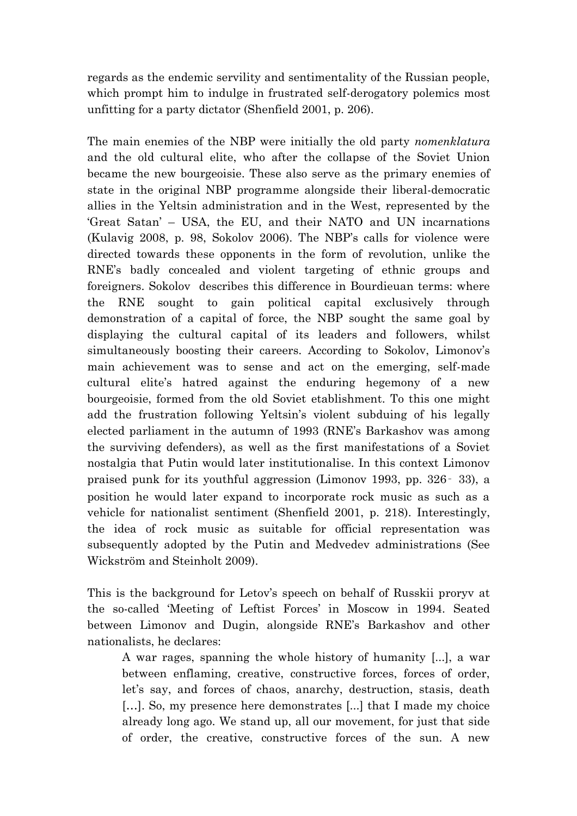regards as the endemic servility and sentimentality of the Russian people, which prompt him to indulge in frustrated self-derogatory polemics most unfitting for a party dictator (Shenfield 2001, p. 206).

The main enemies of the NBP were initially the old party *nomenklatura* and the old cultural elite, who after the collapse of the Soviet Union became the new bourgeoisie. These also serve as the primary enemies of state in the original NBP programme alongside their liberal-democratic allies in the Yeltsin administration and in the West, represented by the "Great Satan" – USA, the EU, and their NATO and UN incarnations (Kulavig 2008, p. 98, Sokolov 2006). The NBP"s calls for violence were directed towards these opponents in the form of revolution, unlike the RNE"s badly concealed and violent targeting of ethnic groups and foreigners. Sokolov describes this difference in Bourdieuan terms: where the RNE sought to gain political capital exclusively through demonstration of a capital of force, the NBP sought the same goal by displaying the cultural capital of its leaders and followers, whilst simultaneously boosting their careers. According to Sokolov, Limonov's main achievement was to sense and act on the emerging, self-made cultural elite"s hatred against the enduring hegemony of a new bourgeoisie, formed from the old Soviet etablishment. To this one might add the frustration following Yeltsin"s violent subduing of his legally elected parliament in the autumn of 1993 (RNE"s Barkashov was among the surviving defenders), as well as the first manifestations of a Soviet nostalgia that Putin would later institutionalise. In this context Limonov praised punk for its youthful aggression (Limonov 1993, pp. 326‑ 33), a position he would later expand to incorporate rock music as such as a vehicle for nationalist sentiment (Shenfield 2001, p. 218). Interestingly, the idea of rock music as suitable for official representation was subsequently adopted by the Putin and Medvedev administrations (See Wickström and Steinholt 2009).

This is the background for Letov's speech on behalf of Russkii proryv at the so-called 'Meeting of Leftist Forces' in Moscow in 1994. Seated between Limonov and Dugin, alongside RNE"s Barkashov and other nationalists, he declares:

A war rages, spanning the whole history of humanity [...], a war between enflaming, creative, constructive forces, forces of order, let's say, and forces of chaos, anarchy, destruction, stasis, death […]. So, my presence here demonstrates [...] that I made my choice already long ago. We stand up, all our movement, for just that side of order, the creative, constructive forces of the sun. A new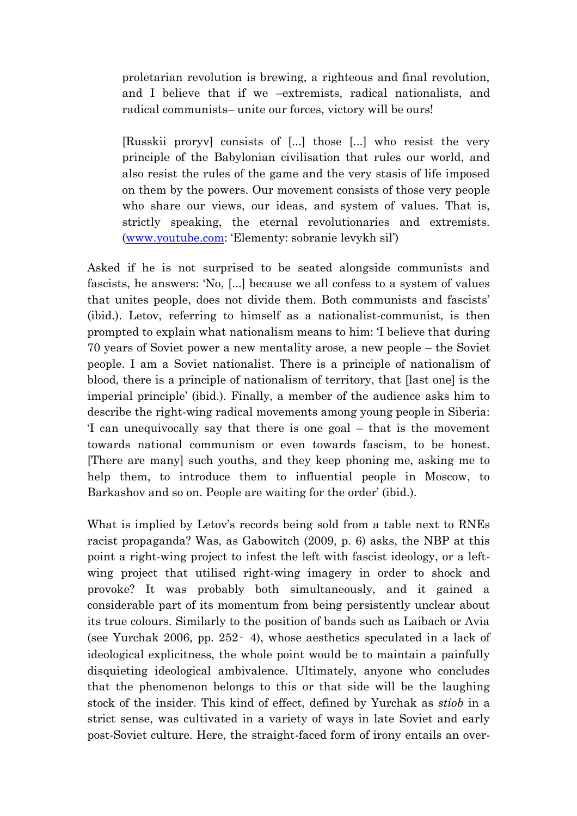proletarian revolution is brewing, a righteous and final revolution, and I believe that if we –extremists, radical nationalists, and radical communists– unite our forces, victory will be ours!

[Russkii proryv] consists of [...] those [...] who resist the very principle of the Babylonian civilisation that rules our world, and also resist the rules of the game and the very stasis of life imposed on them by the powers. Our movement consists of those very people who share our views, our ideas, and system of values. That is, strictly speaking, the eternal revolutionaries and extremists. [\(www.youtube.com](http://www.youtube.com/): "Elementy: sobranie levykh sil")

Asked if he is not surprised to be seated alongside communists and fascists, he answers: "No, [...] because we all confess to a system of values that unites people, does not divide them. Both communists and fascists" (ibid.). Letov, referring to himself as a nationalist-communist, is then prompted to explain what nationalism means to him: "I believe that during 70 years of Soviet power a new mentality arose, a new people – the Soviet people. I am a Soviet nationalist. There is a principle of nationalism of blood, there is a principle of nationalism of territory, that [last one] is the imperial principle' (ibid.). Finally, a member of the audience asks him to describe the right-wing radical movements among young people in Siberia: "I can unequivocally say that there is one goal – that is the movement towards national communism or even towards fascism, to be honest. [There are many] such youths, and they keep phoning me, asking me to help them, to introduce them to influential people in Moscow, to Barkashov and so on. People are waiting for the order' (ibid.).

What is implied by Letov's records being sold from a table next to RNEs racist propaganda? Was, as Gabowitch (2009, p. 6) asks, the NBP at this point a right-wing project to infest the left with fascist ideology, or a leftwing project that utilised right-wing imagery in order to shock and provoke? It was probably both simultaneously, and it gained a considerable part of its momentum from being persistently unclear about its true colours. Similarly to the position of bands such as Laibach or Avia (see Yurchak 2006, pp. 252‑ 4), whose aesthetics speculated in a lack of ideological explicitness, the whole point would be to maintain a painfully disquieting ideological ambivalence. Ultimately, anyone who concludes that the phenomenon belongs to this or that side will be the laughing stock of the insider. This kind of effect, defined by Yurchak as *stiob* in a strict sense, was cultivated in a variety of ways in late Soviet and early post-Soviet culture. Here, the straight-faced form of irony entails an over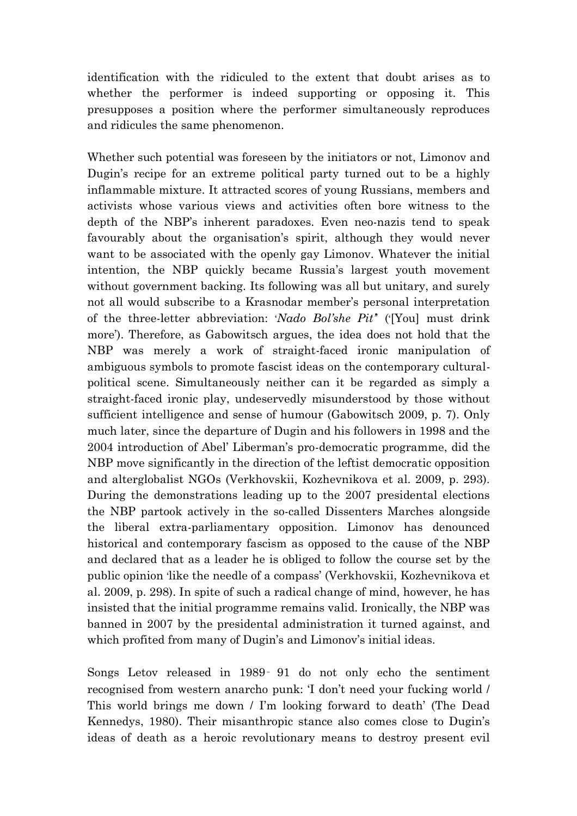identification with the ridiculed to the extent that doubt arises as to whether the performer is indeed supporting or opposing it. This presupposes a position where the performer simultaneously reproduces and ridicules the same phenomenon.

Whether such potential was foreseen by the initiators or not, Limonov and Dugin's recipe for an extreme political party turned out to be a highly inflammable mixture. It attracted scores of young Russians, members and activists whose various views and activities often bore witness to the depth of the NBP"s inherent paradoxes. Even neo-nazis tend to speak favourably about the organisation's spirit, although they would never want to be associated with the openly gay Limonov. Whatever the initial intention, the NBP quickly became Russia's largest youth movement without government backing. Its following was all but unitary, and surely not all would subscribe to a Krasnodar member"s personal interpretation of the three-letter abbreviation: "*Nado Bol'she Pit'*" ("[You] must drink more"). Therefore, as Gabowitsch argues, the idea does not hold that the NBP was merely a work of straight-faced ironic manipulation of ambiguous symbols to promote fascist ideas on the contemporary culturalpolitical scene. Simultaneously neither can it be regarded as simply a straight-faced ironic play, undeservedly misunderstood by those without sufficient intelligence and sense of humour (Gabowitsch 2009, p. 7). Only much later, since the departure of Dugin and his followers in 1998 and the 2004 introduction of Abel" Liberman"s pro-democratic programme, did the NBP move significantly in the direction of the leftist democratic opposition and alterglobalist NGOs (Verkhovskii, Kozhevnikova et al. 2009, p. 293). During the demonstrations leading up to the 2007 presidental elections the NBP partook actively in the so-called Dissenters Marches alongside the liberal extra-parliamentary opposition. Limonov has denounced historical and contemporary fascism as opposed to the cause of the NBP and declared that as a leader he is obliged to follow the course set by the public opinion "like the needle of a compass" (Verkhovskii, Kozhevnikova et al. 2009, p. 298). In spite of such a radical change of mind, however, he has insisted that the initial programme remains valid. Ironically, the NBP was banned in 2007 by the presidental administration it turned against, and which profited from many of Dugin's and Limonov's initial ideas.

Songs Letov released in 1989‑ 91 do not only echo the sentiment recognised from western anarcho punk: "I don"t need your fucking world / This world brings me down / I"m looking forward to death" (The Dead Kennedys, 1980). Their misanthropic stance also comes close to Dugin"s ideas of death as a heroic revolutionary means to destroy present evil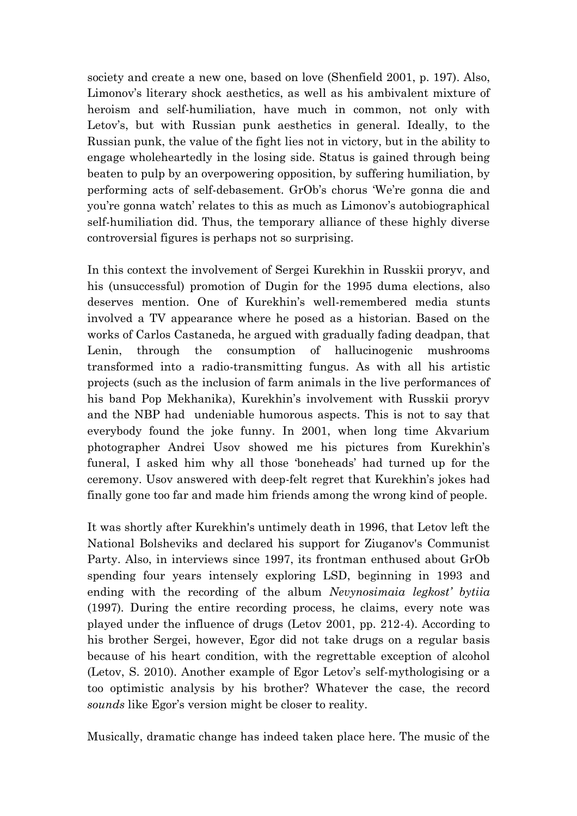society and create a new one, based on love (Shenfield 2001, p. 197). Also, Limonov's literary shock aesthetics, as well as his ambivalent mixture of heroism and self-humiliation, have much in common, not only with Letov's, but with Russian punk aesthetics in general. Ideally, to the Russian punk, the value of the fight lies not in victory, but in the ability to engage wholeheartedly in the losing side. Status is gained through being beaten to pulp by an overpowering opposition, by suffering humiliation, by performing acts of self-debasement. GrOb"s chorus "We"re gonna die and you're gonna watch' relates to this as much as Limonov's autobiographical self-humiliation did. Thus, the temporary alliance of these highly diverse controversial figures is perhaps not so surprising.

In this context the involvement of Sergei Kurekhin in Russkii proryv, and his (unsuccessful) promotion of Dugin for the 1995 duma elections, also deserves mention. One of Kurekhin"s well-remembered media stunts involved a TV appearance where he posed as a historian. Based on the works of Carlos Castaneda, he argued with gradually fading deadpan, that Lenin, through the consumption of hallucinogenic mushrooms transformed into a radio-transmitting fungus. As with all his artistic projects (such as the inclusion of farm animals in the live performances of his band Pop Mekhanika), Kurekhin's involvement with Russkii proryv and the NBP had undeniable humorous aspects. This is not to say that everybody found the joke funny. In 2001, when long time Akvarium photographer Andrei Usov showed me his pictures from Kurekhin"s funeral, I asked him why all those "boneheads" had turned up for the ceremony. Usov answered with deep-felt regret that Kurekhin"s jokes had finally gone too far and made him friends among the wrong kind of people.

It was shortly after Kurekhin's untimely death in 1996, that Letov left the National Bolsheviks and declared his support for Ziuganov's Communist Party. Also, in interviews since 1997, its frontman enthused about GrOb spending four years intensely exploring LSD, beginning in 1993 and ending with the recording of the album *Nevynosimaia legkost' bytiia*  (1997)*.* During the entire recording process, he claims, every note was played under the influence of drugs (Letov 2001, pp. 212-4). According to his brother Sergei, however, Egor did not take drugs on a regular basis because of his heart condition, with the regrettable exception of alcohol (Letov, S. 2010). Another example of Egor Letov's self-mythologising or a too optimistic analysis by his brother? Whatever the case, the record sounds like Egor's version might be closer to reality.

Musically, dramatic change has indeed taken place here. The music of the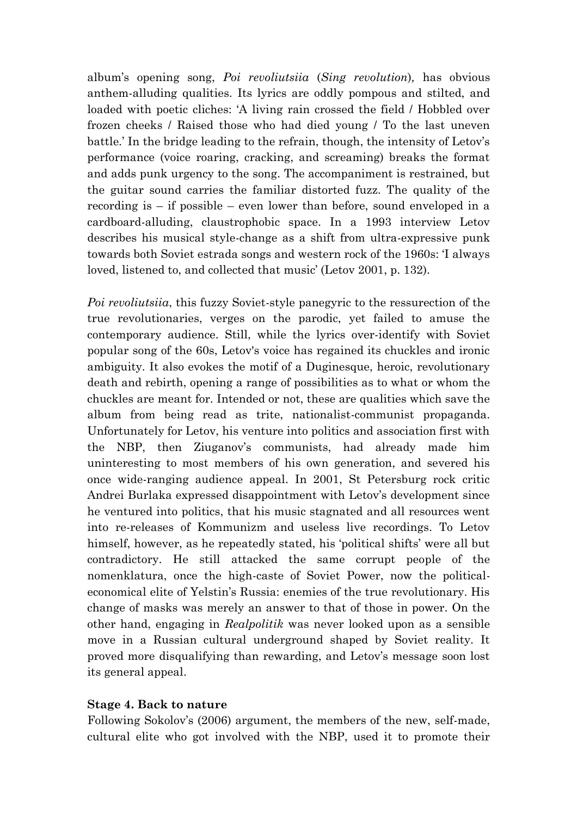album"s opening song, *Poi revoliutsiia* (*Sing revolution*)*,* has obvious anthem-alluding qualities. Its lyrics are oddly pompous and stilted, and loaded with poetic cliches: "A living rain crossed the field / Hobbled over frozen cheeks / Raised those who had died young / To the last uneven battle." In the bridge leading to the refrain, though, the intensity of Letov"s performance (voice roaring, cracking, and screaming) breaks the format and adds punk urgency to the song. The accompaniment is restrained, but the guitar sound carries the familiar distorted fuzz. The quality of the recording is – if possible – even lower than before, sound enveloped in a cardboard-alluding, claustrophobic space. In a 1993 interview Letov describes his musical style-change as a shift from ultra-expressive punk towards both Soviet estrada songs and western rock of the 1960s: "I always loved, listened to, and collected that music' (Letov 2001, p. 132).

*Poi revoliutsiia*, this fuzzy Soviet-style panegyric to the ressurection of the true revolutionaries, verges on the parodic, yet failed to amuse the contemporary audience. Still, while the lyrics over-identify with Soviet popular song of the 60s, Letov's voice has regained its chuckles and ironic ambiguity. It also evokes the motif of a Duginesque, heroic, revolutionary death and rebirth, opening a range of possibilities as to what or whom the chuckles are meant for. Intended or not, these are qualities which save the album from being read as trite, nationalist-communist propaganda. Unfortunately for Letov, his venture into politics and association first with the NBP, then Ziuganov's communists, had already made him uninteresting to most members of his own generation, and severed his once wide-ranging audience appeal. In 2001, St Petersburg rock critic Andrei Burlaka expressed disappointment with Letov"s development since he ventured into politics, that his music stagnated and all resources went into re-releases of Kommunizm and useless live recordings. To Letov himself, however, as he repeatedly stated, his 'political shifts' were all but contradictory. He still attacked the same corrupt people of the nomenklatura, once the high-caste of Soviet Power, now the politicaleconomical elite of Yelstin"s Russia: enemies of the true revolutionary. His change of masks was merely an answer to that of those in power. On the other hand, engaging in *Realpolitik* was never looked upon as a sensible move in a Russian cultural underground shaped by Soviet reality. It proved more disqualifying than rewarding, and Letov"s message soon lost its general appeal.

#### **Stage 4. Back to nature**

Following Sokolov"s (2006) argument, the members of the new, self-made, cultural elite who got involved with the NBP, used it to promote their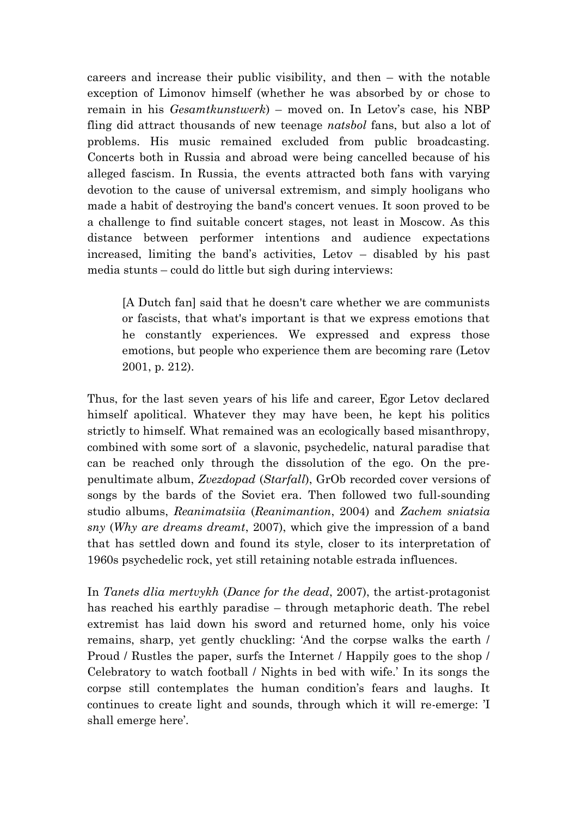careers and increase their public visibility, and then – with the notable exception of Limonov himself (whether he was absorbed by or chose to remain in his *Gesamtkunstwerk*) – moved on. In Letov's case, his NBP fling did attract thousands of new teenage *natsbol* fans, but also a lot of problems. His music remained excluded from public broadcasting. Concerts both in Russia and abroad were being cancelled because of his alleged fascism. In Russia, the events attracted both fans with varying devotion to the cause of universal extremism, and simply hooligans who made a habit of destroying the band's concert venues. It soon proved to be a challenge to find suitable concert stages, not least in Moscow. As this distance between performer intentions and audience expectations increased, limiting the band"s activities, Letov – disabled by his past media stunts – could do little but sigh during interviews:

[A Dutch fan] said that he doesn't care whether we are communists or fascists, that what's important is that we express emotions that he constantly experiences. We expressed and express those emotions, but people who experience them are becoming rare (Letov 2001, p. 212).

Thus, for the last seven years of his life and career, Egor Letov declared himself apolitical. Whatever they may have been, he kept his politics strictly to himself. What remained was an ecologically based misanthropy, combined with some sort of a slavonic, psychedelic, natural paradise that can be reached only through the dissolution of the ego. On the prepenultimate album, *Zvezdopad* (*Starfall*), GrOb recorded cover versions of songs by the bards of the Soviet era. Then followed two full-sounding studio albums, *Reanimatsiia* (*Reanimantion*, 2004) and *Zachem sniatsia sny* (*Why are dreams dreamt*, 2007), which give the impression of a band that has settled down and found its style, closer to its interpretation of 1960s psychedelic rock, yet still retaining notable estrada influences.

In *Tanets dlia mertvykh* (*Dance for the dead*, 2007), the artist-protagonist has reached his earthly paradise – through metaphoric death. The rebel extremist has laid down his sword and returned home, only his voice remains, sharp, yet gently chuckling: "And the corpse walks the earth / Proud / Rustles the paper, surfs the Internet / Happily goes to the shop / Celebratory to watch football / Nights in bed with wife." In its songs the corpse still contemplates the human condition"s fears and laughs. It continues to create light and sounds, through which it will re-emerge: "I shall emerge here'.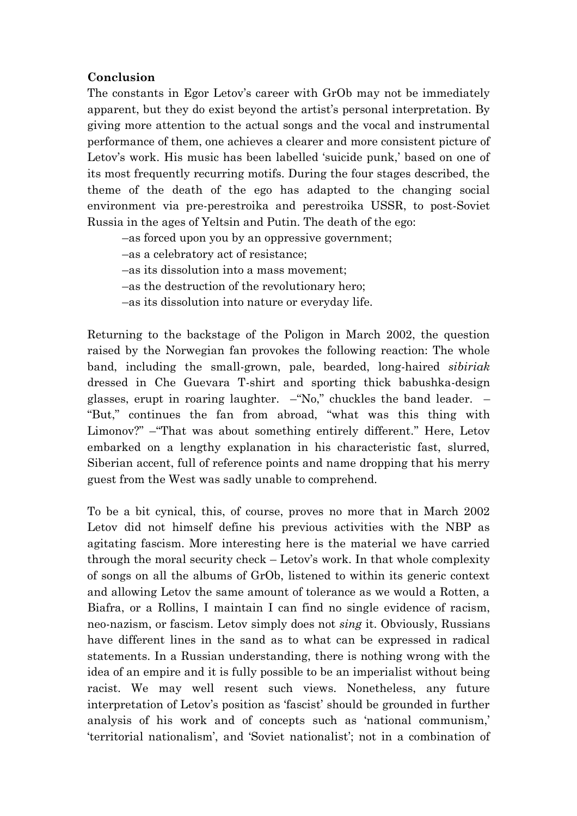## **Conclusion**

The constants in Egor Letov's career with GrOb may not be immediately apparent, but they do exist beyond the artist's personal interpretation. By giving more attention to the actual songs and the vocal and instrumental performance of them, one achieves a clearer and more consistent picture of Letov's work. His music has been labelled 'suicide punk,' based on one of its most frequently recurring motifs. During the four stages described, the theme of the death of the ego has adapted to the changing social environment via pre-perestroika and perestroika USSR, to post-Soviet Russia in the ages of Yeltsin and Putin. The death of the ego:

–as forced upon you by an oppressive government;

–as a celebratory act of resistance;

–as its dissolution into a mass movement;

–as the destruction of the revolutionary hero;

–as its dissolution into nature or everyday life.

Returning to the backstage of the Poligon in March 2002, the question raised by the Norwegian fan provokes the following reaction: The whole band, including the small-grown, pale, bearded, long-haired *sibiriak* dressed in Che Guevara T-shirt and sporting thick babushka-design glasses, erupt in roaring laughter.  $-\text{``No''}$  chuckles the band leader.  $-\text{``No''}$ "But," continues the fan from abroad, "what was this thing with Limonov?" –"That was about something entirely different." Here, Letov embarked on a lengthy explanation in his characteristic fast, slurred, Siberian accent, full of reference points and name dropping that his merry guest from the West was sadly unable to comprehend.

To be a bit cynical, this, of course, proves no more that in March 2002 Letov did not himself define his previous activities with the NBP as agitating fascism. More interesting here is the material we have carried through the moral security check – Letov's work. In that whole complexity of songs on all the albums of GrOb, listened to within its generic context and allowing Letov the same amount of tolerance as we would a Rotten, a Biafra, or a Rollins, I maintain I can find no single evidence of racism, neo-nazism, or fascism. Letov simply does not *sing* it. Obviously, Russians have different lines in the sand as to what can be expressed in radical statements. In a Russian understanding, there is nothing wrong with the idea of an empire and it is fully possible to be an imperialist without being racist. We may well resent such views. Nonetheless, any future interpretation of Letov's position as 'fascist' should be grounded in further analysis of his work and of concepts such as 'national communism,' "territorial nationalism", and "Soviet nationalist"; not in a combination of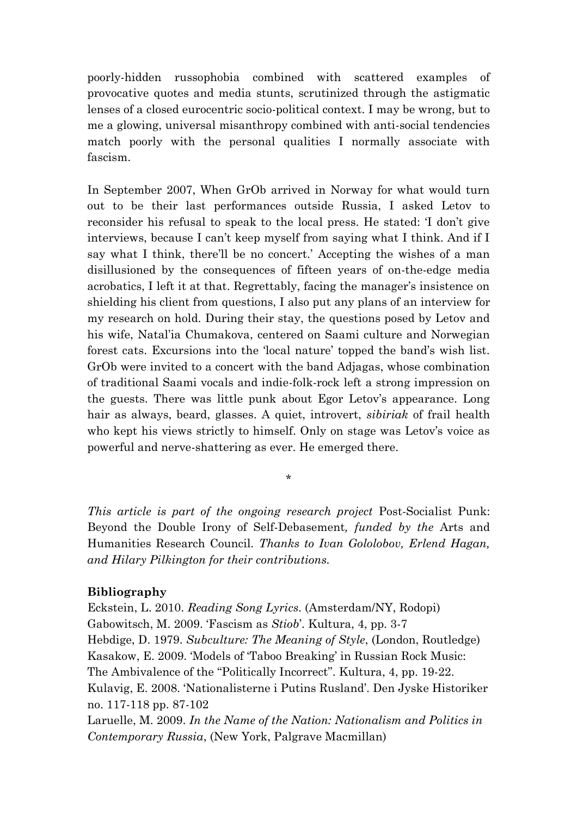poorly-hidden russophobia combined with scattered examples of provocative quotes and media stunts, scrutinized through the astigmatic lenses of a closed eurocentric socio-political context. I may be wrong, but to me a glowing, universal misanthropy combined with anti-social tendencies match poorly with the personal qualities I normally associate with fascism.

In September 2007, When GrOb arrived in Norway for what would turn out to be their last performances outside Russia, I asked Letov to reconsider his refusal to speak to the local press. He stated: "I don"t give interviews, because I can't keep myself from saying what I think. And if I say what I think, there'll be no concert.' Accepting the wishes of a man disillusioned by the consequences of fifteen years of on-the-edge media acrobatics, I left it at that. Regrettably, facing the manager's insistence on shielding his client from questions, I also put any plans of an interview for my research on hold. During their stay, the questions posed by Letov and his wife, Natal"ia Chumakova, centered on Saami culture and Norwegian forest cats. Excursions into the 'local nature' topped the band's wish list. GrOb were invited to a concert with the band Adjagas, whose combination of traditional Saami vocals and indie-folk-rock left a strong impression on the guests. There was little punk about Egor Letov's appearance. Long hair as always, beard, glasses. A quiet, introvert, *sibiriak* of frail health who kept his views strictly to himself. Only on stage was Letov's voice as powerful and nerve-shattering as ever. He emerged there.

*This article is part of the ongoing research project* Post-Socialist Punk: Beyond the Double Irony of Self-Debasement*, funded by the* Arts and Humanities Research Council*. Thanks to Ivan Gololobov, Erlend Hagan, and Hilary Pilkington for their contributions.* 

\*

#### **Bibliography**

Eckstein, L. 2010. *Reading Song Lyrics*. (Amsterdam/NY, Rodopi) Gabowitsch, M. 2009. "Fascism as *Stiob*". Kultura, 4, pp. 3-7 Hebdige, D. 1979. *Subculture: The Meaning of Style*, (London, Routledge) Kasakow, E. 2009. "Models of "Taboo Breaking" in Russian Rock Music: The Ambivalence of the "Politically Incorrect". Kultura, 4, pp. 19-22. Kulavig, E. 2008. "Nationalisterne i Putins Rusland". Den Jyske Historiker no. 117-118 pp. 87-102

Laruelle, M. 2009. *In the Name of the Nation: Nationalism and Politics in Contemporary Russia*, (New York, Palgrave Macmillan)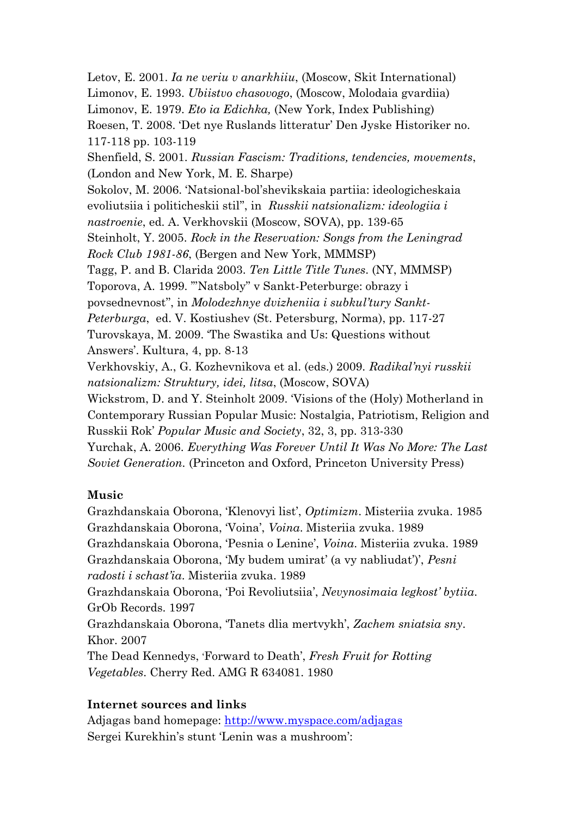Letov, E. 2001. *Ia ne veriu v anarkhiiu*, (Moscow, Skit International) Limonov, E. 1993. *Ubiistvo chasovogo*, (Moscow, Molodaia gvardiia) Limonov, E. 1979. *Eto ia Edichka,* (New York, Index Publishing) Roesen, T. 2008. "Det nye Ruslands litteratur" Den Jyske Historiker no. 117-118 pp. 103-119 Shenfield, S. 2001. *Russian Fascism: Traditions, tendencies, movements*, (London and New York, M. E. Sharpe) Sokolov, M. 2006. "Natsional-bol"shevikskaia partiia: ideologicheskaia evoliutsiia i politicheskii stil"", in *Russkii natsionalizm: ideologiia i nastroenie*, ed. A. Verkhovskii (Moscow, SOVA), pp. 139-65 Steinholt, Y. 2005. *Rock in the Reservation: Songs from the Leningrad Rock Club 1981-86*, (Bergen and New York, MMMSP) Tagg, P. and B. Clarida 2003. *Ten Little Title Tunes*. (NY, MMMSP) Toporova, A. 1999. ""Natsboly" v Sankt-Peterburge: obrazy i povsednevnost"", in *Molodezhnye dvizheniia i subkul'tury Sankt-Peterburga*, ed. V. Kostiushev (St. Petersburg, Norma), pp. 117-27 Turovskaya, M. 2009. "The Swastika and Us: Questions without Answers'. Kultura, 4, pp. 8-13 Verkhovskiy, A., G. Kozhevnikova et al. (eds.) 2009. *Radikal'nyi russkii natsionalizm: Struktury, idei, litsa*, (Moscow, SOVA) Wickstrom, D. and Y. Steinholt 2009. "Visions of the (Holy) Motherland in Contemporary Russian Popular Music: Nostalgia, Patriotism, Religion and Russkii Rok" *Popular Music and Society*, 32, 3, pp. 313-330 Yurchak, A. 2006. *Everything Was Forever Until It Was No More: The Last Soviet Generation.* (Princeton and Oxford, Princeton University Press)

# **Music**

Grazhdanskaia Oborona, "Klenovyi list", *Optimizm*. Misteriia zvuka. 1985 Grazhdanskaia Oborona, "Voina", *Voina*. Misteriia zvuka. 1989 Grazhdanskaia Oborona, "Pesnia o Lenine", *Voina*. Misteriia zvuka. 1989 Grazhdanskaia Oborona, 'My budem umirat' (a vy nabliudat')', *Pesni radosti i schast'ia*. Misteriia zvuka. 1989 Grazhdanskaia Oborona, "Poi Revoliutsiia", *Nevynosimaia legkost' bytiia*. GrOb Records. 1997 Grazhdanskaia Oborona, "Tanets dlia mertvykh", *Zachem sniatsia sny*. Khor. 2007 The Dead Kennedys, "Forward to Death", *Fresh Fruit for Rotting Vegetables*. Cherry Red. AMG R 634081. 1980

# **Internet sources and links**

Adjagas band homepage:<http://www.myspace.com/adjagas> Sergei Kurekhin"s stunt "Lenin was a mushroom":